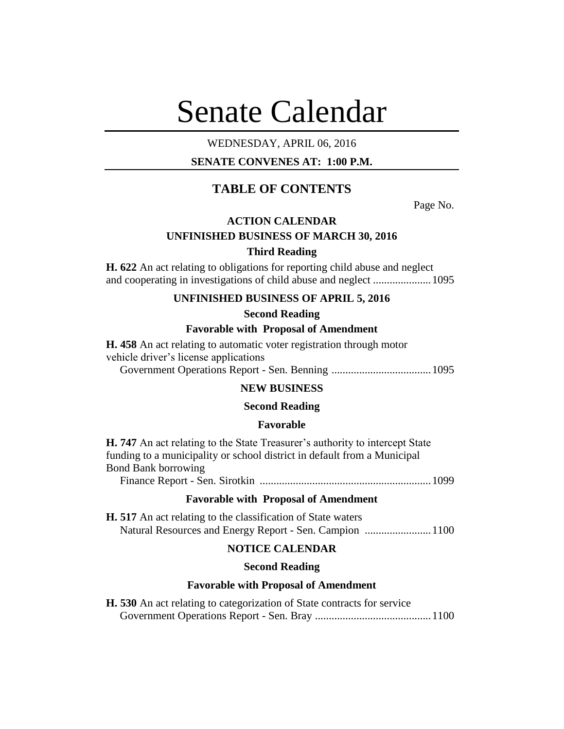# Senate Calendar

# WEDNESDAY, APRIL 06, 2016

# **SENATE CONVENES AT: 1:00 P.M.**

# **TABLE OF CONTENTS**

Page No.

# **ACTION CALENDAR**

# **UNFINISHED BUSINESS OF MARCH 30, 2016**

## **Third Reading**

**H. 622** An act relating to obligations for reporting child abuse and neglect and cooperating in investigations of child abuse and neglect .....................1095

## **UNFINISHED BUSINESS OF APRIL 5, 2016**

## **Second Reading**

## **Favorable with Proposal of Amendment**

**H. 458** An act relating to automatic voter registration through motor vehicle driver's license applications

Government Operations Report - Sen. Benning ....................................1095

# **NEW BUSINESS**

## **Second Reading**

## **Favorable**

**H. 747** An act relating to the State Treasurer's authority to intercept State funding to a municipality or school district in default from a Municipal Bond Bank borrowing

Finance Report - Sen. Sirotkin ..............................................................1099

## **Favorable with Proposal of Amendment**

**H. 517** An act relating to the classification of State waters Natural Resources and Energy Report - Sen. Campion ........................1100

# **NOTICE CALENDAR**

## **Second Reading**

# **Favorable with Proposal of Amendment**

**H. 530** An act relating to categorization of State contracts for service Government Operations Report - Sen. Bray ..........................................1100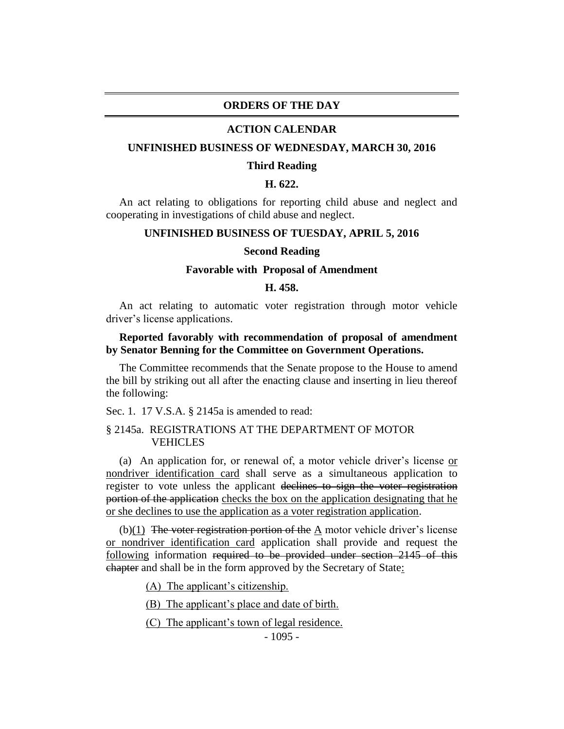## **ORDERS OF THE DAY**

#### **ACTION CALENDAR**

#### **UNFINISHED BUSINESS OF WEDNESDAY, MARCH 30, 2016**

#### **Third Reading**

## **H. 622.**

An act relating to obligations for reporting child abuse and neglect and cooperating in investigations of child abuse and neglect.

## **UNFINISHED BUSINESS OF TUESDAY, APRIL 5, 2016**

#### **Second Reading**

#### **Favorable with Proposal of Amendment**

## **H. 458.**

An act relating to automatic voter registration through motor vehicle driver's license applications.

## **Reported favorably with recommendation of proposal of amendment by Senator Benning for the Committee on Government Operations.**

The Committee recommends that the Senate propose to the House to amend the bill by striking out all after the enacting clause and inserting in lieu thereof the following:

Sec. 1. 17 V.S.A. § 2145a is amended to read:

## § 2145a. REGISTRATIONS AT THE DEPARTMENT OF MOTOR VEHICLES

(a) An application for, or renewal of, a motor vehicle driver's license or nondriver identification card shall serve as a simultaneous application to register to vote unless the applicant declines to sign the voter registration portion of the application checks the box on the application designating that he or she declines to use the application as a voter registration application.

 $(b)(1)$  The voter registration portion of the A motor vehicle driver's license or nondriver identification card application shall provide and request the following information required to be provided under section 2145 of this chapter and shall be in the form approved by the Secretary of State:

(A) The applicant's citizenship.

(B) The applicant's place and date of birth.

(C) The applicant's town of legal residence.

- 1095 -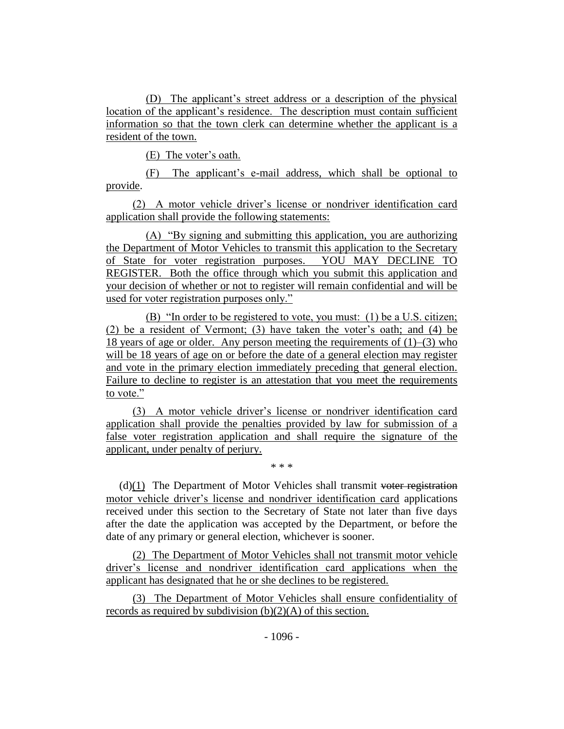(D) The applicant's street address or a description of the physical location of the applicant's residence. The description must contain sufficient information so that the town clerk can determine whether the applicant is a resident of the town.

(E) The voter's oath.

(F) The applicant's e-mail address, which shall be optional to provide.

(2) A motor vehicle driver's license or nondriver identification card application shall provide the following statements:

(A) "By signing and submitting this application, you are authorizing the Department of Motor Vehicles to transmit this application to the Secretary of State for voter registration purposes. YOU MAY DECLINE TO REGISTER. Both the office through which you submit this application and your decision of whether or not to register will remain confidential and will be used for voter registration purposes only."

(B) "In order to be registered to vote, you must: (1) be a U.S. citizen; (2) be a resident of Vermont; (3) have taken the voter's oath; and (4) be 18 years of age or older. Any person meeting the requirements of (1)–(3) who will be 18 years of age on or before the date of a general election may register and vote in the primary election immediately preceding that general election. Failure to decline to register is an attestation that you meet the requirements to vote."

(3) A motor vehicle driver's license or nondriver identification card application shall provide the penalties provided by law for submission of a false voter registration application and shall require the signature of the applicant, under penalty of perjury.

\* \* \*

 $(d)(1)$  The Department of Motor Vehicles shall transmit voter registration motor vehicle driver's license and nondriver identification card applications received under this section to the Secretary of State not later than five days after the date the application was accepted by the Department, or before the date of any primary or general election, whichever is sooner.

(2) The Department of Motor Vehicles shall not transmit motor vehicle driver's license and nondriver identification card applications when the applicant has designated that he or she declines to be registered.

(3) The Department of Motor Vehicles shall ensure confidentiality of records as required by subdivision (b)(2)(A) of this section.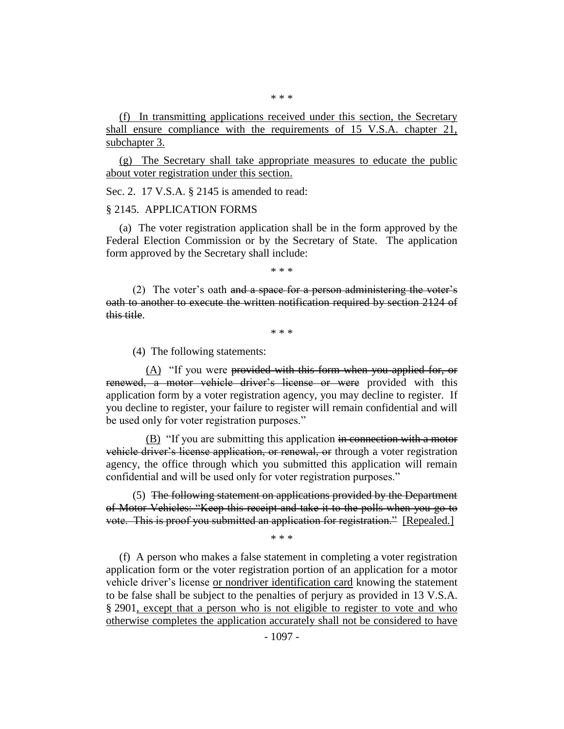(f) In transmitting applications received under this section, the Secretary shall ensure compliance with the requirements of 15 V.S.A. chapter 21, subchapter 3.

(g) The Secretary shall take appropriate measures to educate the public about voter registration under this section.

Sec. 2. 17 V.S.A. § 2145 is amended to read:

#### § 2145. APPLICATION FORMS

(a) The voter registration application shall be in the form approved by the Federal Election Commission or by the Secretary of State. The application form approved by the Secretary shall include:

\* \* \*

(2) The voter's oath and a space for a person administering the voter's oath to another to execute the written notification required by section 2124 of this title.

\* \* \*

(4) The following statements:

(A) "If you were provided with this form when you applied for, or renewed, a motor vehicle driver's license or were provided with this application form by a voter registration agency, you may decline to register. If you decline to register, your failure to register will remain confidential and will be used only for voter registration purposes."

(B) "If you are submitting this application in connection with a motor vehicle driver's license application, or renewal, or through a voter registration agency, the office through which you submitted this application will remain confidential and will be used only for voter registration purposes."

(5) The following statement on applications provided by the Department of Motor Vehicles: "Keep this receipt and take it to the polls when you go to vote. This is proof you submitted an application for registration." [Repealed.]

\* \* \*

(f) A person who makes a false statement in completing a voter registration application form or the voter registration portion of an application for a motor vehicle driver's license or nondriver identification card knowing the statement to be false shall be subject to the penalties of perjury as provided in 13 V.S.A. § 2901, except that a person who is not eligible to register to vote and who otherwise completes the application accurately shall not be considered to have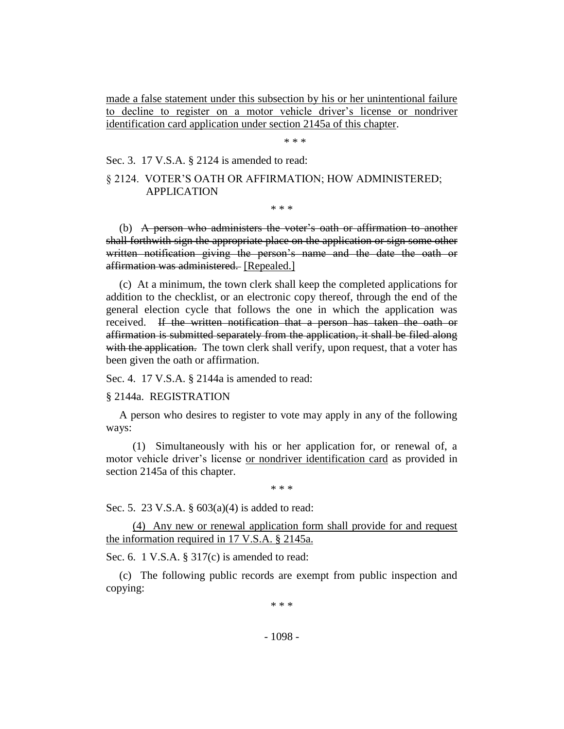made a false statement under this subsection by his or her unintentional failure to decline to register on a motor vehicle driver's license or nondriver identification card application under section 2145a of this chapter.

\* \* \*

Sec. 3. 17 V.S.A. § 2124 is amended to read:

# § 2124. VOTER'S OATH OR AFFIRMATION; HOW ADMINISTERED; APPLICATION

\* \* \*

(b) A person who administers the voter's oath or affirmation to another shall forthwith sign the appropriate place on the application or sign some other written notification giving the person's name and the date the oath or affirmation was administered. [Repealed.]

(c) At a minimum, the town clerk shall keep the completed applications for addition to the checklist, or an electronic copy thereof, through the end of the general election cycle that follows the one in which the application was received. If the written notification that a person has taken the oath or affirmation is submitted separately from the application, it shall be filed along with the application. The town clerk shall verify, upon request, that a voter has been given the oath or affirmation.

Sec. 4. 17 V.S.A. § 2144a is amended to read:

## § 2144a. REGISTRATION

A person who desires to register to vote may apply in any of the following ways:

(1) Simultaneously with his or her application for, or renewal of, a motor vehicle driver's license or nondriver identification card as provided in section 2145a of this chapter.

\* \* \*

Sec. 5. 23 V.S.A. § 603(a)(4) is added to read:

(4) Any new or renewal application form shall provide for and request the information required in 17 V.S.A. § 2145a.

Sec. 6. 1 V.S.A. § 317(c) is amended to read:

(c) The following public records are exempt from public inspection and copying:

\* \* \*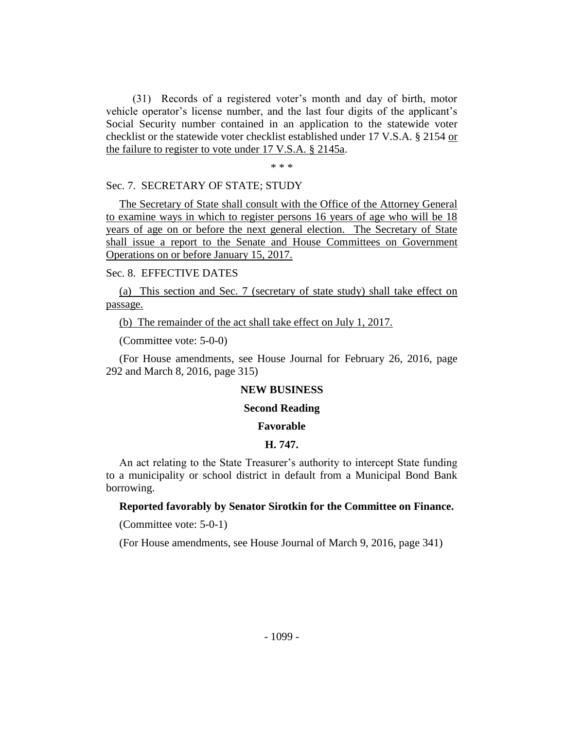(31) Records of a registered voter's month and day of birth, motor vehicle operator's license number, and the last four digits of the applicant's Social Security number contained in an application to the statewide voter checklist or the statewide voter checklist established under 17 V.S.A. § 2154 or the failure to register to vote under 17 V.S.A. § 2145a.

\* \* \*

## Sec. 7. SECRETARY OF STATE; STUDY

The Secretary of State shall consult with the Office of the Attorney General to examine ways in which to register persons 16 years of age who will be 18 years of age on or before the next general election. The Secretary of State shall issue a report to the Senate and House Committees on Government Operations on or before January 15, 2017.

# Sec. 8. EFFECTIVE DATES

(a) This section and Sec. 7 (secretary of state study) shall take effect on passage.

(b) The remainder of the act shall take effect on July 1, 2017.

(Committee vote: 5-0-0)

(For House amendments, see House Journal for February 26, 2016, page 292 and March 8, 2016, page 315)

## **NEW BUSINESS**

#### **Second Reading**

## **Favorable**

## **H. 747.**

An act relating to the State Treasurer's authority to intercept State funding to a municipality or school district in default from a Municipal Bond Bank borrowing.

## **Reported favorably by Senator Sirotkin for the Committee on Finance.**

(Committee vote: 5-0-1)

(For House amendments, see House Journal of March 9, 2016, page 341)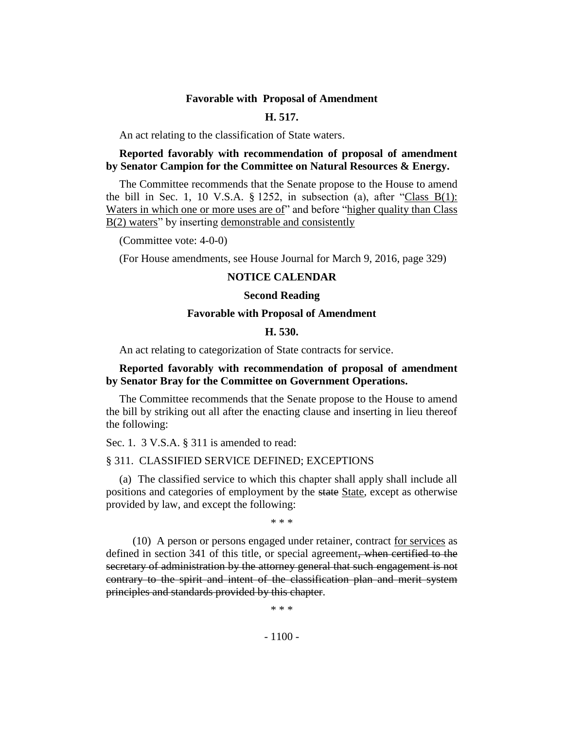## **Favorable with Proposal of Amendment**

## **H. 517.**

An act relating to the classification of State waters.

## **Reported favorably with recommendation of proposal of amendment by Senator Campion for the Committee on Natural Resources & Energy.**

The Committee recommends that the Senate propose to the House to amend the bill in Sec. 1, 10 V.S.A.  $\S$  1252, in subsection (a), after "Class B(1): Waters in which one or more uses are of" and before "higher quality than Class" B(2) waters" by inserting demonstrable and consistently

(Committee vote: 4-0-0)

(For House amendments, see House Journal for March 9, 2016, page 329)

#### **NOTICE CALENDAR**

## **Second Reading**

## **Favorable with Proposal of Amendment**

#### **H. 530.**

An act relating to categorization of State contracts for service.

## **Reported favorably with recommendation of proposal of amendment by Senator Bray for the Committee on Government Operations.**

The Committee recommends that the Senate propose to the House to amend the bill by striking out all after the enacting clause and inserting in lieu thereof the following:

Sec. 1. 3 V.S.A. § 311 is amended to read:

## § 311. CLASSIFIED SERVICE DEFINED; EXCEPTIONS

(a) The classified service to which this chapter shall apply shall include all positions and categories of employment by the state State, except as otherwise provided by law, and except the following:

\* \* \*

(10) A person or persons engaged under retainer, contract for services as defined in section 341 of this title, or special agreement, when certified to the secretary of administration by the attorney general that such engagement is not contrary to the spirit and intent of the classification plan and merit system principles and standards provided by this chapter.

\* \* \*

 $-1100-$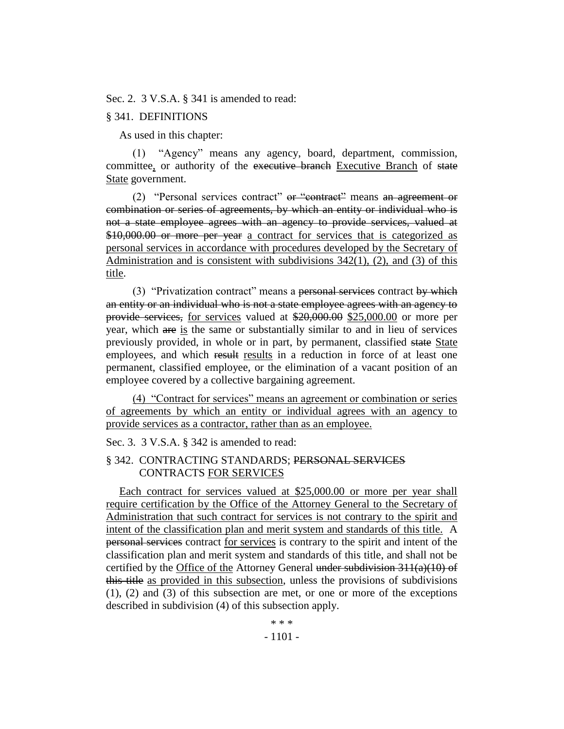Sec. 2. 3 V.S.A. § 341 is amended to read:

## § 341. DEFINITIONS

As used in this chapter:

(1) "Agency" means any agency, board, department, commission, committee, or authority of the executive branch Executive Branch of state State government.

(2) "Personal services contract" or "contract" means an agreement or combination or series of agreements, by which an entity or individual who is not a state employee agrees with an agency to provide services, valued at \$10,000.00 or more per year a contract for services that is categorized as personal services in accordance with procedures developed by the Secretary of Administration and is consistent with subdivisions 342(1), (2), and (3) of this title.

(3) "Privatization contract" means a personal services contract by which an entity or an individual who is not a state employee agrees with an agency to provide services, for services valued at \$20,000.00 \$25,000.00 or more per year, which are is the same or substantially similar to and in lieu of services previously provided, in whole or in part, by permanent, classified state State employees, and which result results in a reduction in force of at least one permanent, classified employee, or the elimination of a vacant position of an employee covered by a collective bargaining agreement.

(4) "Contract for services" means an agreement or combination or series of agreements by which an entity or individual agrees with an agency to provide services as a contractor, rather than as an employee.

Sec. 3. 3 V.S.A. § 342 is amended to read:

## § 342. CONTRACTING STANDARDS; PERSONAL SERVICES CONTRACTS FOR SERVICES

Each contract for services valued at \$25,000.00 or more per year shall require certification by the Office of the Attorney General to the Secretary of Administration that such contract for services is not contrary to the spirit and intent of the classification plan and merit system and standards of this title. A personal services contract for services is contrary to the spirit and intent of the classification plan and merit system and standards of this title, and shall not be certified by the Office of the Attorney General under subdivision 311(a)(10) of this title as provided in this subsection, unless the provisions of subdivisions (1), (2) and (3) of this subsection are met, or one or more of the exceptions described in subdivision (4) of this subsection apply.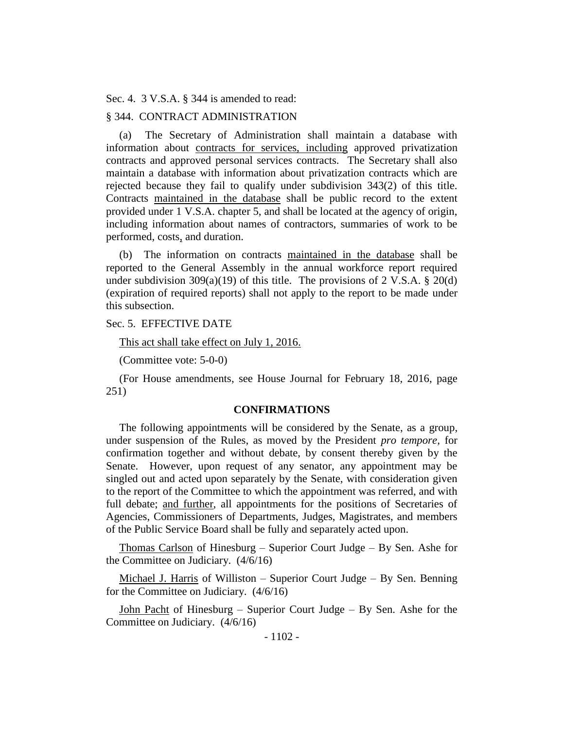Sec. 4. 3 V.S.A. § 344 is amended to read:

## § 344. CONTRACT ADMINISTRATION

(a) The Secretary of Administration shall maintain a database with information about contracts for services, including approved privatization contracts and approved personal services contracts. The Secretary shall also maintain a database with information about privatization contracts which are rejected because they fail to qualify under subdivision 343(2) of this title. Contracts maintained in the database shall be public record to the extent provided under 1 V.S.A. chapter 5, and shall be located at the agency of origin, including information about names of contractors, summaries of work to be performed, costs, and duration.

(b) The information on contracts maintained in the database shall be reported to the General Assembly in the annual workforce report required under subdivision 309(a)(19) of this title. The provisions of 2 V.S.A.  $\S$  20(d) (expiration of required reports) shall not apply to the report to be made under this subsection.

## Sec. 5. EFFECTIVE DATE

This act shall take effect on July 1, 2016.

(Committee vote: 5-0-0)

(For House amendments, see House Journal for February 18, 2016, page 251)

## **CONFIRMATIONS**

The following appointments will be considered by the Senate, as a group, under suspension of the Rules, as moved by the President *pro tempore,* for confirmation together and without debate, by consent thereby given by the Senate. However, upon request of any senator, any appointment may be singled out and acted upon separately by the Senate, with consideration given to the report of the Committee to which the appointment was referred, and with full debate; and further, all appointments for the positions of Secretaries of Agencies, Commissioners of Departments, Judges, Magistrates, and members of the Public Service Board shall be fully and separately acted upon.

Thomas Carlson of Hinesburg – Superior Court Judge – By Sen. Ashe for the Committee on Judiciary. (4/6/16)

Michael J. Harris of Williston – Superior Court Judge – By Sen. Benning for the Committee on Judiciary. (4/6/16)

John Pacht of Hinesburg – Superior Court Judge – By Sen. Ashe for the Committee on Judiciary. (4/6/16)